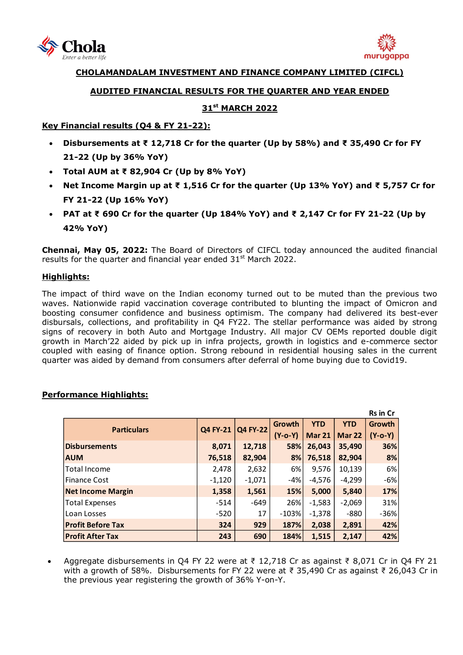



# **CHOLAMANDALAM INVESTMENT AND FINANCE COMPANY LIMITED (CIFCL)**

#### **AUDITED FINANCIAL RESULTS FOR THE QUARTER AND YEAR ENDED**

# **31st MARCH 2022**

#### **Key Financial results (Q4 & FY 21-22):**

- **Disbursements at ₹ 12,718 Cr for the quarter (Up by 58%) and ₹ 35,490 Cr for FY 21-22 (Up by 36% YoY)**
- **Total AUM at ₹ 82,904 Cr (Up by 8% YoY)**
- **Net Income Margin up at ₹ 1,516 Cr for the quarter (Up 13% YoY) and ₹ 5,757 Cr for FY 21-22 (Up 16% YoY)**
- **PAT at ₹ 690 Cr for the quarter (Up 184% YoY) and ₹ 2,147 Cr for FY 21-22 (Up by 42% YoY)**

**Chennai, May 05, 2022:** The Board of Directors of [CIFCL](http://www.cholamandalam.com/) today announced the audited financial results for the quarter and financial year ended  $31<sup>st</sup>$  March 2022.

#### **Highlights:**

The impact of third wave on the Indian economy turned out to be muted than the previous two waves. Nationwide rapid vaccination coverage contributed to blunting the impact of Omicron and boosting consumer confidence and business optimism. The company had delivered its best-ever disbursals, collections, and profitability in Q4 FY22. The stellar performance was aided by strong signs of recovery in both Auto and Mortgage Industry. All major CV OEMs reported double digit growth in March'22 aided by pick up in infra projects, growth in logistics and e-commerce sector coupled with easing of finance option. Strong rebound in residential housing sales in the current quarter was aided by demand from consumers after deferral of home buying due to Covid19.

|                          |          |                 |           |               |            | <b>Rs in Cr</b> |
|--------------------------|----------|-----------------|-----------|---------------|------------|-----------------|
| <b>Particulars</b>       | Q4 FY-21 | <b>Q4 FY-22</b> | Growth    | <b>YTD</b>    | <b>YTD</b> | Growth          |
|                          |          |                 | $(Y-o-Y)$ | <b>Mar 21</b> | Mar 22     | $(Y-o-Y)$       |
| <b>Disbursements</b>     | 8,071    | 12,718          | 58%       | 26,043        | 35,490     | 36%             |
| <b>AUM</b>               | 76,518   | 82,904          | 8%        | 76,518        | 82,904     | 8%              |
| <b>Total Income</b>      | 2,478    | 2,632           | 6%        | 9,576         | 10,139     | 6%              |
| lFinance Cost            | $-1,120$ | $-1,071$        | -4%       | $-4,576$      | $-4,299$   | $-6%$           |
| <b>Net Income Margin</b> | 1,358    | 1,561           | 15%       | 5,000         | 5,840      | 17%             |
| Total Expenses           | $-514$   | -649            | 26%       | $-1,583$      | $-2,069$   | 31%             |
| l Loan Losses            | $-520$   | 17              | $-103%$   | $-1,378$      | $-880$     | $-36%$          |
| <b>Profit Before Tax</b> | 324      | 929             | 187%      | 2,038         | 2,891      | 42%             |
| <b>Profit After Tax</b>  | 243      | 690             | 184%      | 1.515         | 2,147      | 42%             |

## **Performance Highlights:**

Aggregate disbursements in Q4 FY 22 were at  $\overline{z}$  12,718 Cr as against  $\overline{z}$  8,071 Cr in Q4 FY 21 with a growth of 58%. Disbursements for FY 22 were at ₹ 35,490 Cr as against ₹ 26,043 Cr in the previous year registering the growth of 36% Y-on-Y.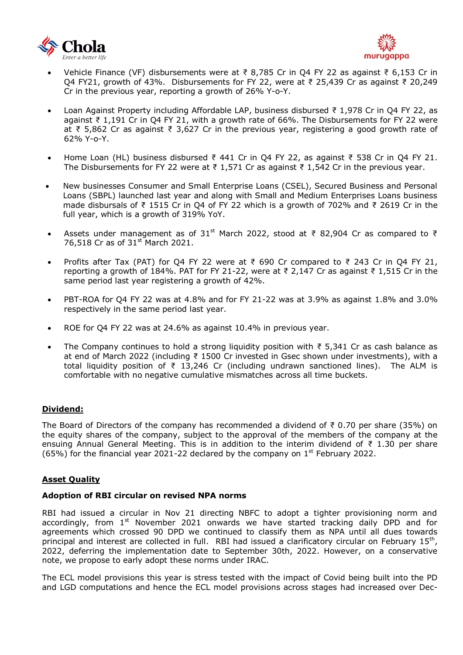



- Vehicle Finance (VF) disbursements were at ₹ 8,785 Cr in Q4 FY 22 as against ₹ 6,153 Cr in Q4 FY21, growth of 43%. Disbursements for FY 22, were at ₹ 25,439 Cr as against ₹ 20,249 Cr in the previous year, reporting a growth of 26% Y-o-Y.
- Loan Against Property including Affordable LAP, business disbursed ₹ 1,978 Cr in Q4 FY 22, as against ₹ 1,191 Cr in Q4 FY 21, with a growth rate of 66%. The Disbursements for FY 22 were at ₹ 5,862 Cr as against ₹ 3,627 Cr in the previous year, registering a good growth rate of 62% Y-o-Y.
- Home Loan (HL) business disbursed ₹ 441 Cr in Q4 FY 22, as against ₹ 538 Cr in Q4 FY 21. The Disbursements for FY 22 were at ₹ 1,571 Cr as against ₹ 1,542 Cr in the previous year.
- New businesses Consumer and Small Enterprise Loans (CSEL), Secured Business and Personal Loans (SBPL) launched last year and along with Small and Medium Enterprises Loans business made disbursals of ₹ 1515 Cr in Q4 of FY 22 which is a growth of 702% and ₹ 2619 Cr in the full year, which is a growth of 319% YoY.
- Assets under management as of 31<sup>st</sup> March 2022, stood at ₹ 82,904 Cr as compared to ₹ 76,518 Cr as of 31<sup>st</sup> March 2021.
- Profits after Tax (PAT) for O4 FY 22 were at ₹ 690 Cr compared to ₹ 243 Cr in O4 FY 21, reporting a growth of 184%. PAT for FY 21-22, were at ₹ 2,147 Cr as against ₹ 1,515 Cr in the same period last year registering a growth of 42%.
- PBT-ROA for Q4 FY 22 was at 4.8% and for FY 21-22 was at 3.9% as against 1.8% and 3.0% respectively in the same period last year.
- ROE for Q4 FY 22 was at 24.6% as against 10.4% in previous year.
- The Company continues to hold a strong liquidity position with  $\bar{\xi}$  5.341 Cr as cash balance as at end of March 2022 (including ₹ 1500 Cr invested in Gsec shown under investments), with a total liquidity position of  $\overline{z}$  13,246 Cr (including undrawn sanctioned lines). The ALM is comfortable with no negative cumulative mismatches across all time buckets.

#### **Dividend:**

The Board of Directors of the company has recommended a dividend of  $\bar{\tau}$  0.70 per share (35%) on the equity shares of the company, subject to the approval of the members of the company at the ensuing Annual General Meeting. This is in addition to the interim dividend of  $\bar{z}$  1.30 per share (65%) for the financial year 2021-22 declared by the company on  $1<sup>st</sup>$  February 2022.

#### **Asset Quality**

#### **Adoption of RBI circular on revised NPA norms**

RBI had issued a circular in Nov 21 directing NBFC to adopt a tighter provisioning norm and accordingly, from  $1<sup>st</sup>$  November 2021 onwards we have started tracking daily DPD and for agreements which crossed 90 DPD we continued to classify them as NPA until all dues towards principal and interest are collected in full. RBI had issued a clarificatory circular on February  $15<sup>th</sup>$ , 2022, deferring the implementation date to September 30th, 2022. However, on a conservative note, we propose to early adopt these norms under IRAC.

The ECL model provisions this year is stress tested with the impact of Covid being built into the PD and LGD computations and hence the ECL model provisions across stages had increased over Dec-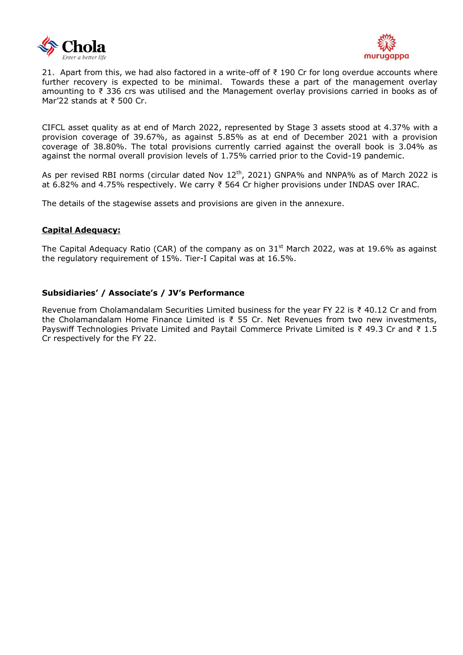



21. Apart from this, we had also factored in a write-off of ₹ 190 Cr for long overdue accounts where further recovery is expected to be minimal. Towards these a part of the management overlay amounting to ₹ 336 crs was utilised and the Management overlay provisions carried in books as of Mar'22 stands at ₹ 500 Cr.

CIFCL asset quality as at end of March 2022, represented by Stage 3 assets stood at 4.37% with a provision coverage of 39.67%, as against 5.85% as at end of December 2021 with a provision coverage of 38.80%. The total provisions currently carried against the overall book is 3.04% as against the normal overall provision levels of 1.75% carried prior to the Covid-19 pandemic.

As per revised RBI norms (circular dated Nov 12<sup>th</sup>, 2021) GNPA% and NNPA% as of March 2022 is at 6.82% and 4.75% respectively. We carry ₹ 564 Cr higher provisions under INDAS over IRAC.

The details of the stagewise assets and provisions are given in the annexure.

#### **Capital Adequacy:**

The Capital Adequacy Ratio (CAR) of the company as on  $31<sup>st</sup>$  March 2022, was at 19.6% as against the regulatory requirement of 15%. Tier-I Capital was at 16.5%.

#### **Subsidiaries' / Associate's / JV's Performance**

Revenue from Cholamandalam Securities Limited business for the year FY 22 is ₹ 40.12 Cr and from the Cholamandalam Home Finance Limited is ₹ 55 Cr. Net Revenues from two new investments, Payswiff Technologies Private Limited and Paytail Commerce Private Limited is ₹ 49.3 Cr and ₹ 1.5 Cr respectively for the FY 22.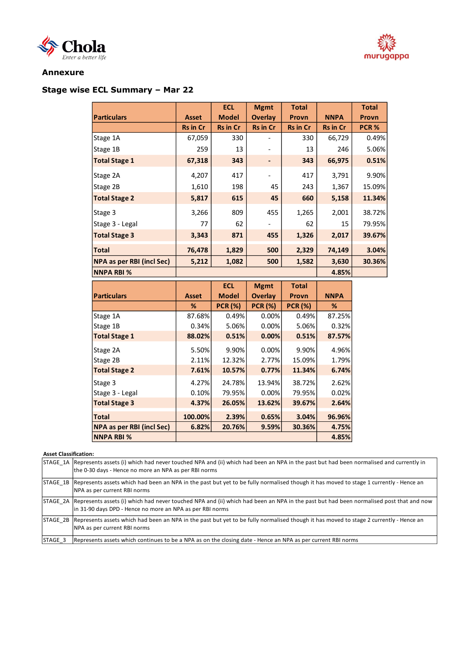# Chola



#### **Annexure**

# **Stage wise ECL Summary – Mar 22**

|                                  |                 | <b>ECL</b>      | <b>Mgmt</b>     | <b>Total</b>    |                 | <b>Total</b> |  |
|----------------------------------|-----------------|-----------------|-----------------|-----------------|-----------------|--------------|--|
| <b>Particulars</b>               | <b>Asset</b>    | <b>Model</b>    | <b>Overlay</b>  | <b>Provn</b>    | <b>NNPA</b>     | Provn        |  |
|                                  | <b>Rs in Cr</b> | <b>Rs in Cr</b> | <b>Rs in Cr</b> | <b>Rs in Cr</b> | <b>Rs in Cr</b> | PCR%         |  |
| Stage 1A                         | 67,059          | 330             |                 | 330             | 66,729          | 0.49%        |  |
| Stage 1B                         | 259             | 13              |                 | 13              | 246             | 5.06%        |  |
| <b>Total Stage 1</b>             | 67,318          | 343             |                 | 343             | 66,975          | 0.51%        |  |
| Stage 2A                         | 4,207           | 417             |                 | 417             | 3,791           | 9.90%        |  |
| Stage 2B                         | 1,610           | 198             | 45              | 243             | 1,367           | 15.09%       |  |
| <b>Total Stage 2</b>             | 5,817           | 615             | 45              | 660             | 5,158           | 11.34%       |  |
| Stage 3                          | 3,266           | 809             | 455             | 1,265           | 2,001           | 38.72%       |  |
| Stage 3 - Legal                  | 77              | 62              |                 | 62              | 15              | 79.95%       |  |
| <b>Total Stage 3</b>             | 3,343           | 871             | 455             | 1,326           | 2,017           | 39.67%       |  |
| <b>Total</b>                     | 76,478          | 1,829           | 500             | 2,329           | 74,149          | 3.04%        |  |
| <b>NPA as per RBI (incl Sec)</b> | 5,212           | 1,082           | 500             | 1,582           | 3,630           | 30.36%       |  |
| <b>NNPA RBI %</b>                |                 |                 | 4.85%           |                 |                 |              |  |

|                                  |         | <b>ECL</b>     | <b>Mgmt</b>                    | <b>Total</b>   |             |
|----------------------------------|---------|----------------|--------------------------------|----------------|-------------|
| <b>Particulars</b>               | Asset   | <b>Model</b>   | <b>Overlay</b><br><b>Provn</b> |                | <b>NNPA</b> |
|                                  | %       | <b>PCR (%)</b> | <b>PCR (%)</b>                 | <b>PCR (%)</b> | %           |
| Stage 1A                         | 87.68%  | 0.49%          | 0.00%                          | 0.49%          | 87.25%      |
| Stage 1B                         | 0.34%   | 5.06%          | 0.00%                          | 5.06%          | 0.32%       |
| <b>Total Stage 1</b>             | 88.02%  | 0.51%          | 0.00%                          | 0.51%          | 87.57%      |
| Stage 2A                         | 5.50%   | 9.90%          | 0.00%                          | 9.90%          | 4.96%       |
| Stage 2B                         | 2.11%   | 12.32%         | 2.77%                          | 15.09%         | 1.79%       |
| <b>Total Stage 2</b>             | 7.61%   | 10.57%         | 0.77%                          | 11.34%         | 6.74%       |
| Stage 3                          | 4.27%   | 24.78%         | 13.94%                         | 38.72%         | 2.62%       |
| Stage 3 - Legal                  | 0.10%   | 79.95%         | 0.00%                          | 79.95%         | 0.02%       |
| <b>Total Stage 3</b>             | 4.37%   | 26.05%         | 13.62%                         | 39.67%         | 2.64%       |
| <b>Total</b>                     | 100.00% | 2.39%          | 0.65%                          | 3.04%          | 96.96%      |
| <b>NPA as per RBI (incl Sec)</b> | 6.82%   | 20.76%         | 9.59%                          | 30.36%         | 4.75%       |
| <b>NNPA RBI %</b>                |         |                |                                |                | 4.85%       |

#### **Asset Classification:**

|         | STAGE 1A Represents assets (i) which had never touched NPA and (ii) which had been an NPA in the past but had been normalised and currently in<br>the 0-30 days - Hence no more an NPA as per RBI norms      |
|---------|--------------------------------------------------------------------------------------------------------------------------------------------------------------------------------------------------------------|
|         | STAGE 1B   Represents assets which had been an NPA in the past but yet to be fully normalised though it has moved to stage 1 currently - Hence an<br>NPA as per current RBI norms                            |
|         | STAGE 2A Represents assets (i) which had never touched NPA and (ii) which had been an NPA in the past but had been normalised post that and now<br>in 31-90 days DPD - Hence no more an NPA as per RBI norms |
|         | STAGE 2B Represents assets which had been an NPA in the past but yet to be fully normalised though it has moved to stage 2 currently - Hence an<br>NPA as per current RBI norms                              |
| STAGE 3 | Represents assets which continues to be a NPA as on the closing date - Hence an NPA as per current RBI norms                                                                                                 |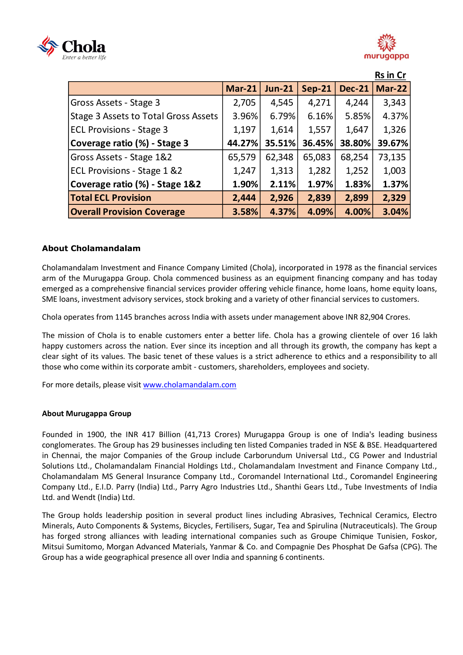



|                                             |               |               |               |               | <b>Rs in Cr</b> |
|---------------------------------------------|---------------|---------------|---------------|---------------|-----------------|
|                                             | <b>Mar-21</b> | <b>Jun-21</b> | <b>Sep-21</b> | <b>Dec-21</b> | <b>Mar-22</b>   |
| Gross Assets - Stage 3                      | 2,705         | 4,545         | 4,271         | 4,244         | 3,343           |
| <b>Stage 3 Assets to Total Gross Assets</b> | 3.96%         | 6.79%         | 6.16%         | 5.85%         | 4.37%           |
| <b>ECL Provisions - Stage 3</b>             | 1,197         | 1,614         | 1,557         | 1,647         | 1,326           |
| Coverage ratio (%) - Stage 3                | 44.27%        | 35.51%        | 36.45%        | 38.80%        | 39.67%          |
| Gross Assets - Stage 1&2                    | 65,579        | 62,348        | 65,083        | 68,254        | 73,135          |
| ECL Provisions - Stage 1 &2                 | 1,247         | 1,313         | 1,282         | 1,252         | 1,003           |
| Coverage ratio (%) - Stage 1&2              | 1.90%         | 2.11%         | 1.97%         | 1.83%         | 1.37%           |
| <b>Total ECL Provision</b>                  | 2,444         | 2,926         | 2,839         | 2,899         | 2,329           |
| <b>Overall Provision Coverage</b>           | 3.58%         | 4.37%         | 4.09%         | 4.00%         | 3.04%           |

## **About Cholamandalam**

Cholamandalam Investment and Finance Company Limited (Chola), incorporated in 1978 as the financial services arm of the Murugappa Group. Chola commenced business as an equipment financing company and has today emerged as a comprehensive financial services provider offering vehicle finance, home loans, home equity loans, SME loans, investment advisory services, stock broking and a variety of other financial services to customers.

Chola operates from 1145 branches across India with assets under management above INR 82,904 Crores.

The mission of Chola is to enable customers enter a better life. Chola has a growing clientele of over 16 lakh happy customers across the nation. Ever since its inception and all through its growth, the company has kept a clear sight of its values. The basic tenet of these values is a strict adherence to ethics and a responsibility to all those who come within its corporate ambit - customers, shareholders, employees and society.

For more details, please visit [www.cholamandalam.com](http://www.cholamandalam.com/)

#### **About Murugappa Group**

Founded in 1900, the INR 417 Billion (41,713 Crores) Murugappa Group is one of India's leading business conglomerates. The Group has 29 businesses including ten listed Companies traded in NSE & BSE. Headquartered in Chennai, the major Companies of the Group include Carborundum Universal Ltd., CG Power and Industrial Solutions Ltd., Cholamandalam Financial Holdings Ltd., Cholamandalam Investment and Finance Company Ltd., Cholamandalam MS General Insurance Company Ltd., Coromandel International Ltd., Coromandel Engineering Company Ltd., E.I.D. Parry (India) Ltd., Parry Agro Industries Ltd., Shanthi Gears Ltd., Tube Investments of India Ltd. and Wendt (India) Ltd.

The Group holds leadership position in several product lines including Abrasives, Technical Ceramics, Electro Minerals, Auto Components & Systems, Bicycles, Fertilisers, Sugar, Tea and Spirulina (Nutraceuticals). The Group has forged strong alliances with leading international companies such as Groupe Chimique Tunisien, Foskor, Mitsui Sumitomo, Morgan Advanced Materials, Yanmar & Co. and Compagnie Des Phosphat De Gafsa (CPG). The Group has a wide geographical presence all over India and spanning 6 continents.